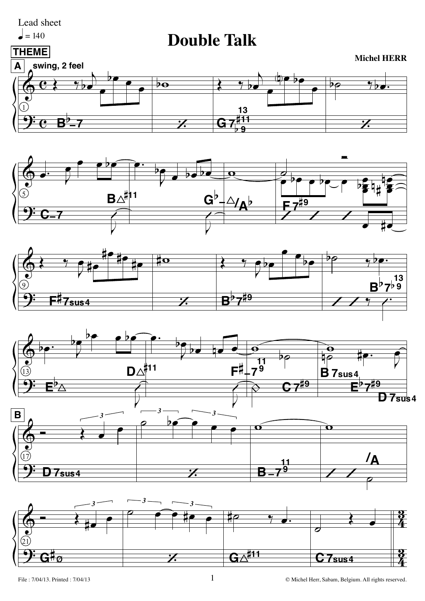

## $= 140$

## **Double Talk**











 $\mathbf 1$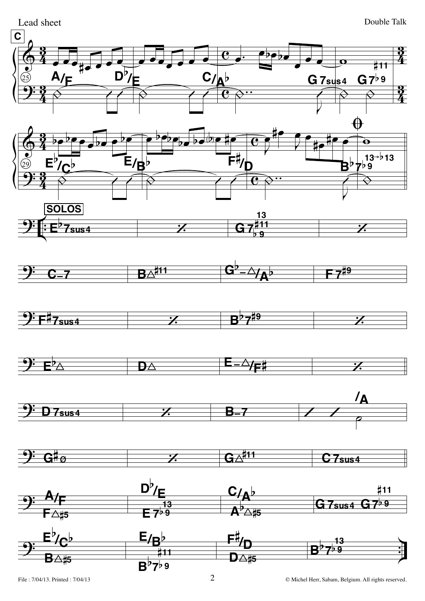



Lead sheet